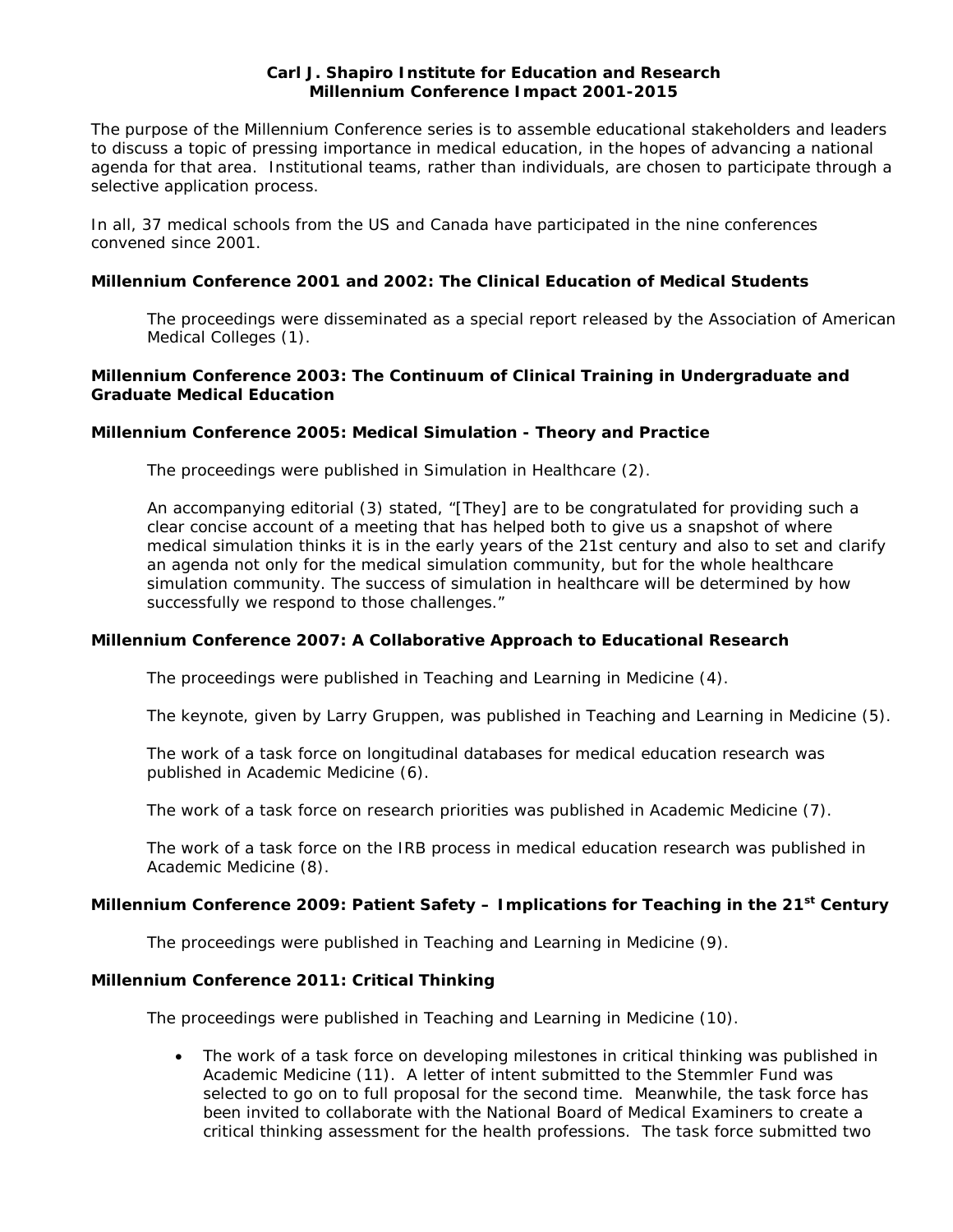## **Carl J. Shapiro Institute for Education and Research Millennium Conference Impact 2001-2015**

The purpose of the Millennium Conference series is to assemble educational stakeholders and leaders to discuss a topic of pressing importance in medical education, in the hopes of advancing a national agenda for that area. Institutional teams, rather than individuals, are chosen to participate through a selective application process.

In all, 37 medical schools from the US and Canada have participated in the nine conferences convened since 2001.

## **Millennium Conference 2001 and 2002: The Clinical Education of Medical Students**

The proceedings were disseminated as a special report released by the Association of American Medical Colleges (1).

## **Millennium Conference 2003: The Continuum of Clinical Training in Undergraduate and Graduate Medical Education**

### **Millennium Conference 2005: Medical Simulation - Theory and Practice**

The proceedings were published in Simulation in Healthcare (2).

An accompanying editorial (3) stated, "[They] are to be congratulated for providing such a clear concise account of a meeting that has helped both to give us a snapshot of where medical simulation thinks it is in the early years of the 21st century and also to set and clarify an agenda not only for the medical simulation community, but for the whole healthcare simulation community. The success of simulation in healthcare will be determined by how successfully we respond to those challenges."

#### **Millennium Conference 2007: A Collaborative Approach to Educational Research**

The proceedings were published in *Teaching and Learning in Medicine* (4).

The keynote, given by Larry Gruppen, was published in *Teaching and Learning in Medicine* (5).

The work of a task force on longitudinal databases for medical education research was published in *Academic Medicine* (6).

The work of a task force on research priorities was published in *Academic Medicine* (7).

The work of a task force on the IRB process in medical education research was published in *Academic Medicine* (8).

## **Millennium Conference 2009: Patient Safety – Implications for Teaching in the 21st Century**

The proceedings were published in Teaching and Learning in Medicine (9).

#### **Millennium Conference 2011: Critical Thinking**

The proceedings were published in *Teaching and Learning in Medicine* (10).

The work of a task force on developing milestones in critical thinking was published in *Academic Medicine* (11). A letter of intent submitted to the Stemmler Fund was selected to go on to full proposal for the second time. Meanwhile, the task force has been invited to collaborate with the National Board of Medical Examiners to create a critical thinking assessment for the health professions. The task force submitted two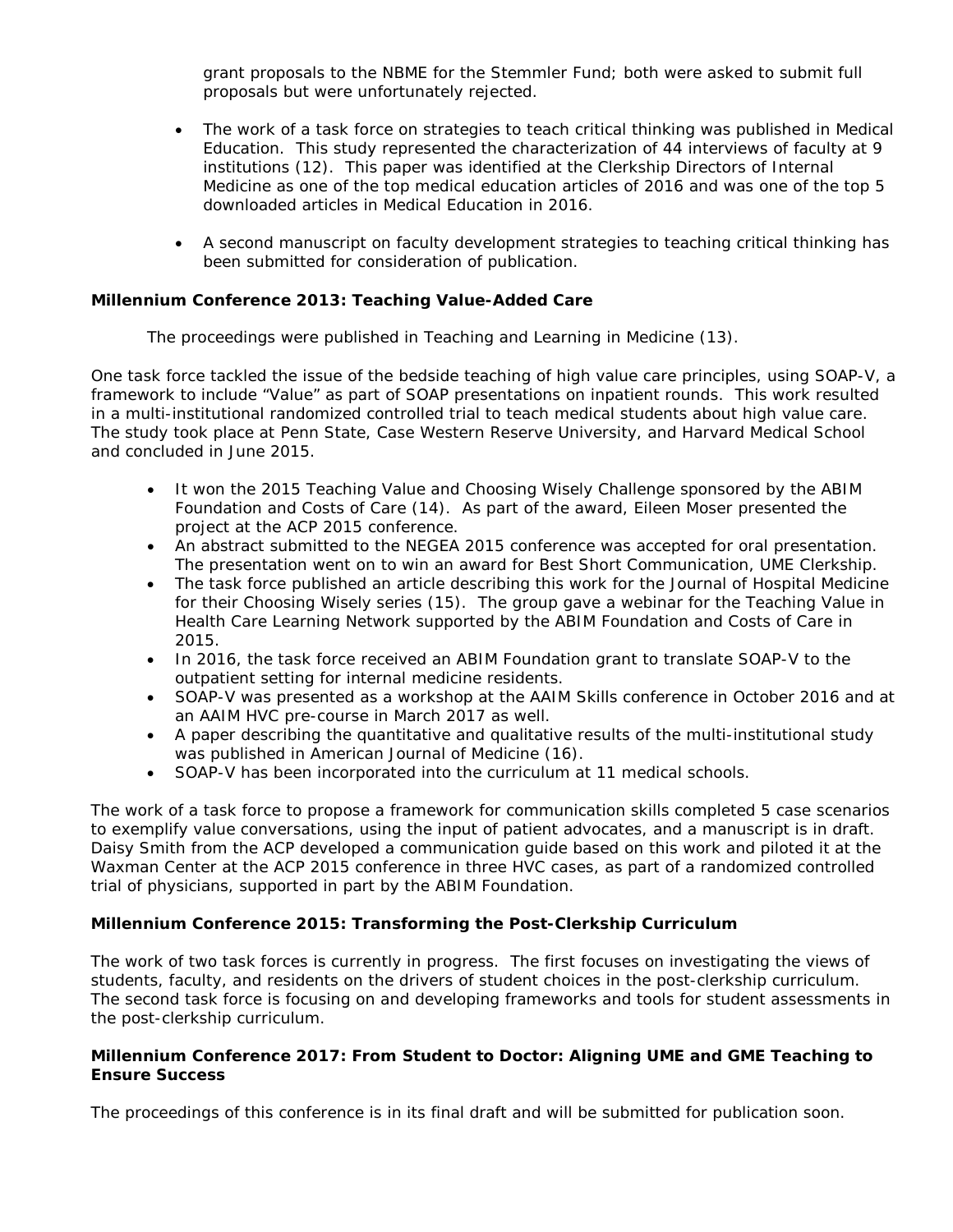grant proposals to the NBME for the Stemmler Fund; both were asked to submit full proposals but were unfortunately rejected.

- The work of a task force on strategies to teach critical thinking was published in *Medical Education*. This study represented the characterization of 44 interviews of faculty at 9 institutions (12). This paper was identified at the Clerkship Directors of Internal Medicine as one of the top medical education articles of 2016 and was one of the top 5 downloaded articles in *Medical Education* in 2016.
- A second manuscript on faculty development strategies to teaching critical thinking has been submitted for consideration of publication.

## **Millennium Conference 2013: Teaching Value-Added Care**

The proceedings were published in *Teaching and Learning in Medicine* (13).

One task force tackled the issue of the bedside teaching of high value care principles, using SOAP-V, a framework to include "Value" as part of SOAP presentations on inpatient rounds. This work resulted in a multi-institutional randomized controlled trial to teach medical students about high value care. The study took place at Penn State, Case Western Reserve University, and Harvard Medical School and concluded in June 2015.

- It won the 2015 Teaching Value and Choosing Wisely Challenge sponsored by the ABIM Foundation and Costs of Care (14). As part of the award, Eileen Moser presented the project at the ACP 2015 conference.
- An abstract submitted to the NEGEA 2015 conference was accepted for oral presentation. The presentation went on to win an award for Best Short Communication, UME Clerkship.
- The task force published an article describing this work for the Journal of Hospital Medicine for their Choosing Wisely series (15). The group gave a webinar for the Teaching Value in Health Care Learning Network supported by the ABIM Foundation and Costs of Care in 2015.
- In 2016, the task force received an ABIM Foundation grant to translate SOAP-V to the outpatient setting for internal medicine residents.
- SOAP-V was presented as a workshop at the AAIM Skills conference in October 2016 and at an AAIM HVC pre-course in March 2017 as well.
- A paper describing the quantitative and qualitative results of the multi-institutional study was published in *American Journal of Medicine* (16).
- SOAP-V has been incorporated into the curriculum at 11 medical schools.

The work of a task force to propose a framework for communication skills completed 5 case scenarios to exemplify value conversations, using the input of patient advocates, and a manuscript is in draft. Daisy Smith from the ACP developed a communication guide based on this work and piloted it at the Waxman Center at the ACP 2015 conference in three HVC cases, as part of a randomized controlled trial of physicians, supported in part by the ABIM Foundation.

# **Millennium Conference 2015: Transforming the Post-Clerkship Curriculum**

The work of two task forces is currently in progress. The first focuses on investigating the views of students, faculty, and residents on the drivers of student choices in the post-clerkship curriculum. The second task force is focusing on and developing frameworks and tools for student assessments in the post-clerkship curriculum.

## **Millennium Conference 2017: From Student to Doctor: Aligning UME and GME Teaching to Ensure Success**

The proceedings of this conference is in its final draft and will be submitted for publication soon.